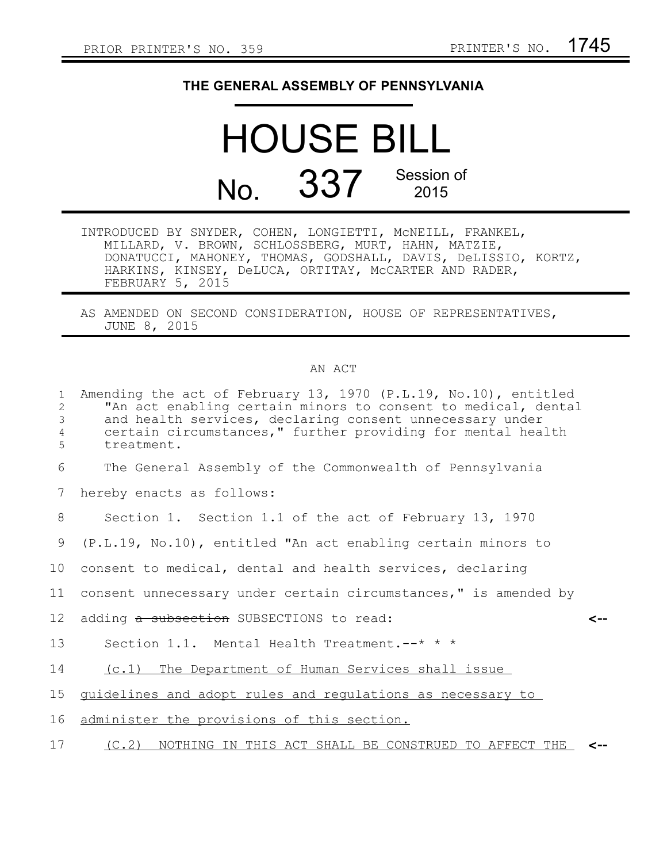## **THE GENERAL ASSEMBLY OF PENNSYLVANIA**

## HOUSE BILL No. 337 Session of

| INTRODUCED BY SNYDER, COHEN, LONGIETTI, MCNEILL, FRANKEL,     |  |  |
|---------------------------------------------------------------|--|--|
| MILLARD, V. BROWN, SCHLOSSBERG, MURT, HAHN, MATZIE,           |  |  |
| DONATUCCI, MAHONEY, THOMAS, GODSHALL, DAVIS, DeLISSIO, KORTZ, |  |  |
| HARKINS, KINSEY, DeLUCA, ORTITAY, MCCARTER AND RADER,         |  |  |
| FEBRUARY 5, 2015                                              |  |  |

AS AMENDED ON SECOND CONSIDERATION, HOUSE OF REPRESENTATIVES, JUNE 8, 2015

## AN ACT

| $\mathbf{1}$<br>2<br>3<br>4<br>5 | Amending the act of February 13, 1970 (P.L.19, No.10), entitled<br>"An act enabling certain minors to consent to medical, dental<br>and health services, declaring consent unnecessary under<br>certain circumstances," further providing for mental health<br>treatment. |  |
|----------------------------------|---------------------------------------------------------------------------------------------------------------------------------------------------------------------------------------------------------------------------------------------------------------------------|--|
| 6                                | The General Assembly of the Commonwealth of Pennsylvania                                                                                                                                                                                                                  |  |
| 7                                | hereby enacts as follows:                                                                                                                                                                                                                                                 |  |
| 8                                | Section 1. Section 1.1 of the act of February 13, 1970                                                                                                                                                                                                                    |  |
| 9                                | (P.L.19, No.10), entitled "An act enabling certain minors to                                                                                                                                                                                                              |  |
| 10 <sub>1</sub>                  | consent to medical, dental and health services, declaring                                                                                                                                                                                                                 |  |
| 11                               | consent unnecessary under certain circumstances," is amended by                                                                                                                                                                                                           |  |
| 12 <sup>°</sup>                  | adding a subsection SUBSECTIONS to read:<br><--                                                                                                                                                                                                                           |  |
| 13                               | Section 1.1. Mental Health Treatment.--* * *                                                                                                                                                                                                                              |  |
| 14                               | (c.1) The Department of Human Services shall issue                                                                                                                                                                                                                        |  |
| 15                               | guidelines and adopt rules and regulations as necessary to                                                                                                                                                                                                                |  |
| 16                               | administer the provisions of this section.                                                                                                                                                                                                                                |  |
| 17                               | NOTHING IN THIS ACT SHALL BE CONSTRUED TO AFFECT THE<br>(C.2)<br>$\leftarrow$                                                                                                                                                                                             |  |